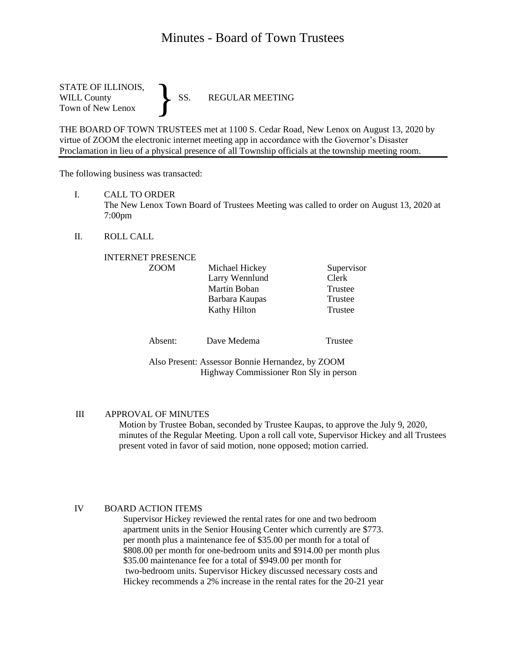# Minutes - Board of Town Trustees

STATE OF ILLINOIS,<br>WILL County SS. WILL County SS. REGULAR MEETING Town of New Lenox }

THE BOARD OF TOWN TRUSTEES met at 1100 S. Cedar Road, New Lenox on August 13, 2020 by virtue of ZOOM the electronic internet meeting app in accordance with the Governor's Disaster Proclamation in lieu of a physical presence of all Township officials at the township meeting room.

The following business was transacted:

I. CALL TO ORDER

The New Lenox Town Board of Trustees Meeting was called to order on August 13, 2020 at 7:00pm

II. ROLL CALL

| <b>INTERNET PRESENCE</b>                         |                |            |
|--------------------------------------------------|----------------|------------|
| <b>ZOOM</b>                                      | Michael Hickey | Supervisor |
|                                                  | Larry Wennlund | Clerk      |
|                                                  | Martin Boban   | Trustee    |
|                                                  | Barbara Kaupas | Trustee    |
|                                                  | Kathy Hilton   | Trustee    |
| Absent:                                          | Dave Medema    |            |
|                                                  |                | Trustee    |
| Also Present: Assessor Bonnie Hernandez, by ZOOM |                |            |

Highway Commissioner Ron Sly in person

III APPROVAL OF MINUTES

Motion by Trustee Boban, seconded by Trustee Kaupas, to approve the July 9, 2020, minutes of the Regular Meeting. Upon a roll call vote, Supervisor Hickey and all Trustees present voted in favor of said motion, none opposed; motion carried.

#### IV BOARD ACTION ITEMS

 Supervisor Hickey reviewed the rental rates for one and two bedroom apartment units in the Senior Housing Center which currently are \$773. per month plus a maintenance fee of \$35.00 per month for a total of \$808.00 per month for one-bedroom units and \$914.00 per month plus \$35.00 maintenance fee for a total of \$949.00 per month for two-bedroom units. Supervisor Hickey discussed necessary costs and Hickey recommends a 2% increase in the rental rates for the 20-21 year